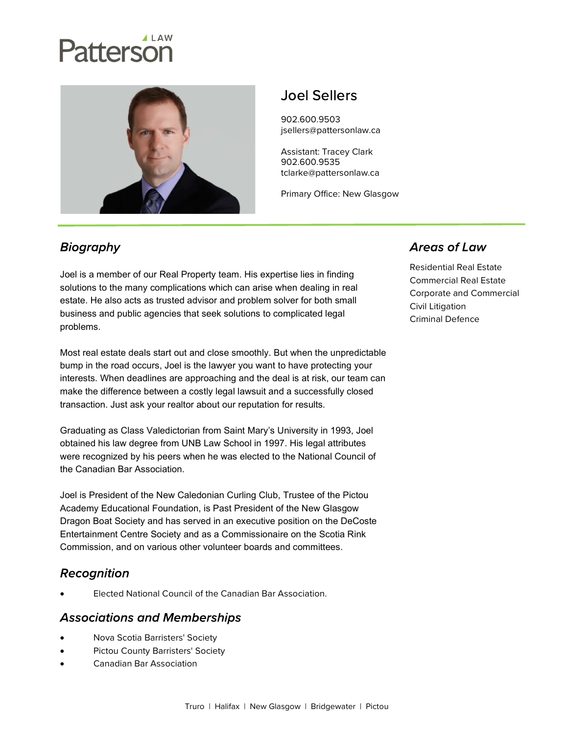# Patterson



## Joel Sellers

902.600.9503 jsellers@pattersonlaw.ca

Assistant: Tracey Clark 902.600.9535 tclarke@pattersonlaw.ca

Primary Office: New Glasgow

### **Biography**

Joel is a member of our Real Property team. His expertise lies in finding solutions to the many complications which can arise when dealing in real estate. He also acts as trusted advisor and problem solver for both small business and public agencies that seek solutions to complicated legal problems.

Most real estate deals start out and close smoothly. But when the unpredictable bump in the road occurs, Joel is the lawyer you want to have protecting your interests. When deadlines are approaching and the deal is at risk, our team can make the difference between a costly legal lawsuit and a successfully closed transaction. Just ask your realtor about our reputation for results.

Graduating as Class Valedictorian from Saint Mary's University in 1993, Joel obtained his law degree from UNB Law School in 1997. His legal attributes were recognized by his peers when he was elected to the National Council of the Canadian Bar Association.

Joel is President of the New Caledonian Curling Club, Trustee of the Pictou Academy Educational Foundation, is Past President of the New Glasgow Dragon Boat Society and has served in an executive position on the DeCoste Entertainment Centre Society and as a Commissionaire on the Scotia Rink Commission, and on various other volunteer boards and committees.

#### **Recognition**

Elected National Council of the Canadian Bar Association.

#### **Associations and Memberships**

- Nova Scotia Barristers' Society
- **•** Pictou County Barristers' Society
- Canadian Bar Association

#### **Areas of Law**

Residential Real Estate Commercial Real Estate Corporate and Commercial Civil Litigation Criminal Defence